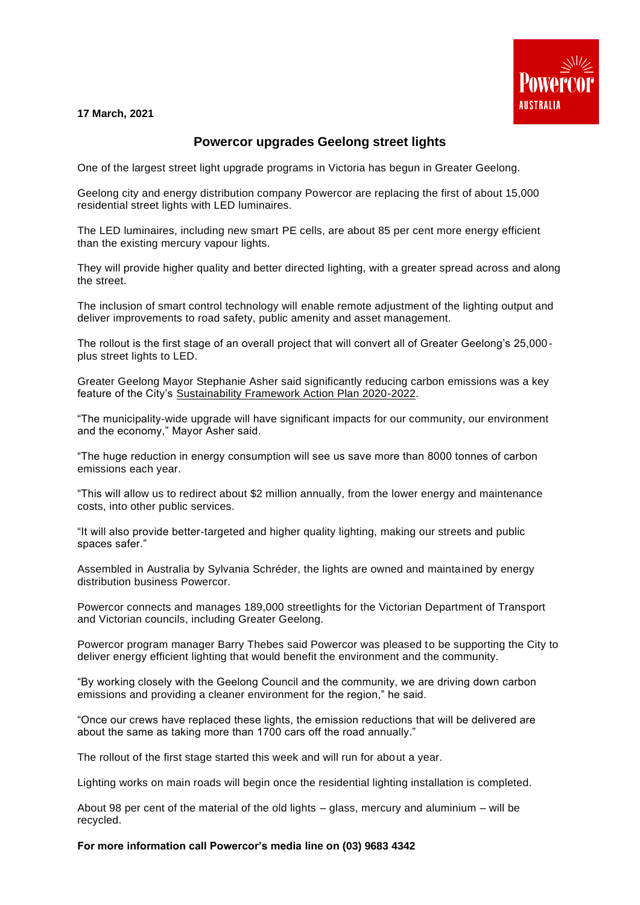**17 March, 2021**



## **Powercor upgrades Geelong street lights**

One of the largest street light upgrade programs in Victoria has begun in Greater Geelong.

Geelong city and energy distribution company Powercor are replacing the first of about 15,000 residential street lights with LED luminaires.

The LED luminaires, including new smart PE cells, are about 85 per cent more energy efficient than the existing mercury vapour lights.

They will provide higher quality and better directed lighting, with a greater spread across and along the street.

The inclusion of smart control technology will enable remote adjustment of the lighting output and deliver improvements to road safety, public amenity and asset management.

The rollout is the first stage of an overall project that will convert all of Greater Geelong's 25,000 plus street lights to LED.

Greater Geelong Mayor Stephanie Asher said significantly reducing carbon emissions was a key feature of the City's [Sustainability Framework Action Plan 2020-2022.](https://s3.ap-southeast-2.amazonaws.com/hdp.au.prod.app.ggc-yoursay.files/2415/9582/5806/Sustainability_Framework_-_Action_Plan.pdf)

"The municipality-wide upgrade will have significant impacts for our community, our environment and the economy," Mayor Asher said.

"The huge reduction in energy consumption will see us save more than 8000 tonnes of carbon emissions each year.

"This will allow us to redirect about \$2 million annually, from the lower energy and maintenance costs, into other public services.

"It will also provide better-targeted and higher quality lighting, making our streets and public spaces safer."

Assembled in Australia by Sylvania Schréder, the lights are owned and maintained by energy distribution business Powercor.

Powercor connects and manages 189,000 streetlights for the Victorian Department of Transport and Victorian councils, including Greater Geelong.

Powercor program manager Barry Thebes said Powercor was pleased to be supporting the City to deliver energy efficient lighting that would benefit the environment and the community.

"By working closely with the Geelong Council and the community, we are driving down carbon emissions and providing a cleaner environment for the region," he said.

"Once our crews have replaced these lights, the emission reductions that will be delivered are about the same as taking more than 1700 cars off the road annually."

The rollout of the first stage started this week and will run for about a year.

Lighting works on main roads will begin once the residential lighting installation is completed.

About 98 per cent of the material of the old lights – glass, mercury and aluminium – will be recycled.

**For more information call Powercor's media line on (03) 9683 4342**